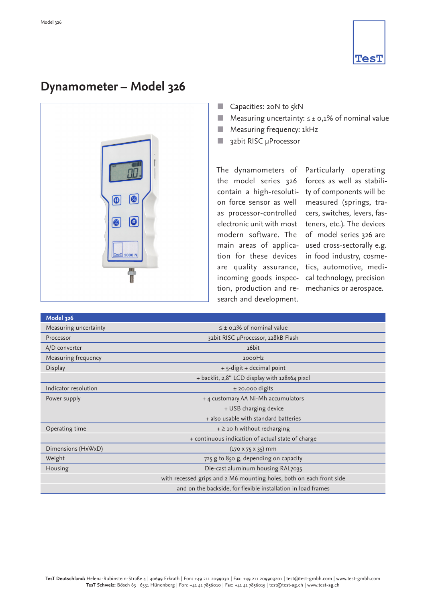

## **Dynamometer – Model 326**



- Capacities:  $20N$  to  $5kN$
- Measuring uncertainty:  $\leq \pm 0.1\%$  of nominal value
- $\blacksquare$  Measuring frequency: 1kHz
- abit RISC µProcessor

The dynamometers of Particularly operating the model series 326 contain a high-resoluti-ty of components will be on force sensor as well as processor-controlled electronic unit with most modern software. The main areas of application for these devices are quality assurance, incoming goods inspection, production and re-mechanics or aerospace. search and development.

forces as well as stabilimeasured (springs, tracers, switches, levers, fasteners, etc.). The devices of model series 326 are used cross-sectorally e.g. in food industry, cosmetics, automotive, medical technology, precision

| <b>Model 326</b>      |                                                                      |
|-----------------------|----------------------------------------------------------------------|
| Measuring uncertainty | $\leq \pm$ 0,1% of nominal value                                     |
| Processor             | 32bit RISC µProcessor, 128kB Flash                                   |
| A/D converter         | 16bit                                                                |
| Measuring frequency   | 1000Hz                                                               |
| Display               | + 5-digit + decimal point                                            |
|                       | + backlit, 2,8" LCD display with 128x64 pixel                        |
| Indicator resolution  | $±$ 20.000 digits                                                    |
| Power supply          | + 4 customary AA Ni-Mh accumulators                                  |
|                       | + USB charging device                                                |
|                       | + also usable with standard batteries                                |
| Operating time        | $+ \geq$ 10 h without recharging                                     |
|                       | + continuous indication of actual state of charge                    |
| Dimensions (HxWxD)    | $(170 \times 75 \times 35)$ mm                                       |
| Weight                | 725 g to 850 g, depending on capacity                                |
| Housing               | Die-cast aluminum housing RAL7035                                    |
|                       | with recessed grips and 2 M6 mounting holes, both on each front side |
|                       | and on the backside, for flexible installation in load frames        |